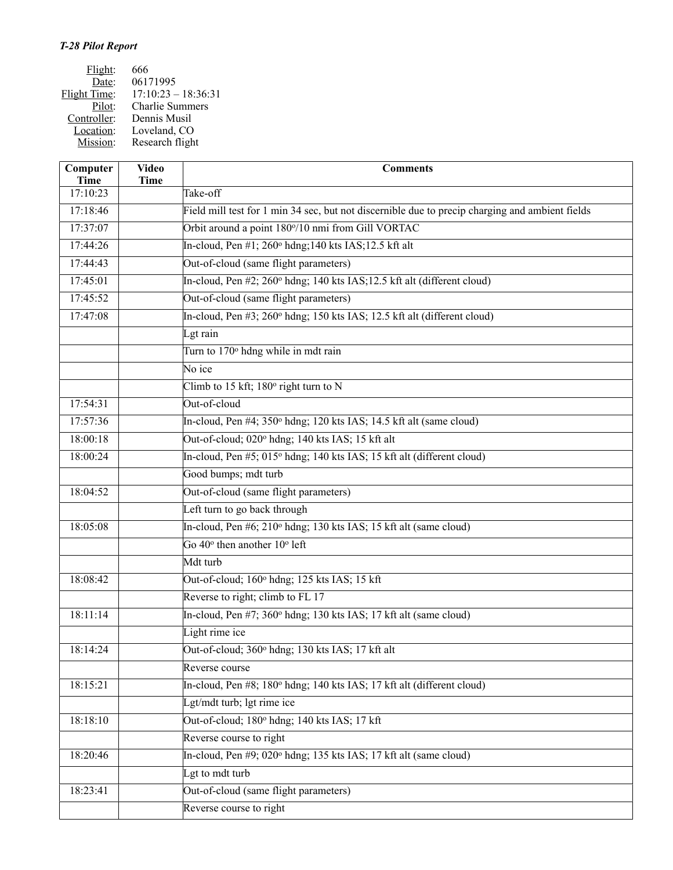| Flight:      | 666                    |
|--------------|------------------------|
| Date:        | 06171995               |
| Flight Time: | $17:10:23 - 18:36:31$  |
| Pilot:       | <b>Charlie Summers</b> |
| Controller:  | Dennis Musil           |
| Location:    | Loveland, CO           |
| Mission:     | Research flight        |

| Computer<br><b>Time</b> | <b>Video</b><br><b>Time</b> | <b>Comments</b>                                                                                 |
|-------------------------|-----------------------------|-------------------------------------------------------------------------------------------------|
| 17:10:23                |                             | Take-off                                                                                        |
| 17:18:46                |                             | Field mill test for 1 min 34 sec, but not discernible due to precip charging and ambient fields |
| 17:37:07                |                             | Orbit around a point 180°/10 nmi from Gill VORTAC                                               |
| 17:44:26                |                             | In-cloud, Pen $\#1$ ; 260 $^{\circ}$ hdng; 140 kts IAS; 12.5 kft alt                            |
| 17:44:43                |                             | Out-of-cloud (same flight parameters)                                                           |
| 17:45:01                |                             | In-cloud, Pen #2; 260° hdng; 140 kts IAS; 12.5 kft alt (different cloud)                        |
| 17:45:52                |                             | Out-of-cloud (same flight parameters)                                                           |
| 17:47:08                |                             | In-cloud, Pen #3; 260° hdng; 150 kts IAS; 12.5 kft alt (different cloud)                        |
|                         |                             | Lgt rain                                                                                        |
|                         |                             | Turn to 170° hdng while in mdt rain                                                             |
|                         |                             | No ice                                                                                          |
|                         |                             | Climb to 15 kft; 180° right turn to N                                                           |
| 17:54:31                |                             | Out-of-cloud                                                                                    |
| 17:57:36                |                             | In-cloud, Pen #4; 350° hdng; 120 kts IAS; 14.5 kft alt (same cloud)                             |
| 18:00:18                |                             | Out-of-cloud; 020° hdng; 140 kts IAS; 15 kft alt                                                |
| 18:00:24                |                             | In-cloud, Pen #5; 015° hdng; 140 kts IAS; 15 kft alt (different cloud)                          |
|                         |                             | Good bumps; mdt turb                                                                            |
| 18:04:52                |                             | Out-of-cloud (same flight parameters)                                                           |
|                         |                             | Left turn to go back through                                                                    |
| 18:05:08                |                             | In-cloud, Pen #6; 210° hdng; 130 kts IAS; 15 kft alt (same cloud)                               |
|                         |                             | Go $40^{\circ}$ then another $10^{\circ}$ left                                                  |
|                         |                             | Mdt turb                                                                                        |
| 18:08:42                |                             | Out-of-cloud; 160° hdng; 125 kts IAS; 15 kft                                                    |
|                         |                             | Reverse to right; climb to FL 17                                                                |
| 18:11:14                |                             | In-cloud, Pen #7; 360° hdng; 130 kts IAS; 17 kft alt (same cloud)                               |
|                         |                             | Light rime ice                                                                                  |
| 18:14:24                |                             | Out-of-cloud; 360° hdng; 130 kts IAS; 17 kft alt                                                |
|                         |                             | Reverse course                                                                                  |
| 18:15:21                |                             | In-cloud, Pen #8; 180° hdng; 140 kts IAS; 17 kft alt (different cloud)                          |
|                         |                             | Lgt/mdt turb; lgt rime ice                                                                      |
| 18:18:10                |                             | Out-of-cloud; 180° hdng; 140 kts IAS; 17 kft                                                    |
|                         |                             | Reverse course to right                                                                         |
| 18:20:46                |                             | In-cloud, Pen #9; 020° hdng; 135 kts IAS; 17 kft alt (same cloud)                               |
|                         |                             | Lgt to mdt turb                                                                                 |
| 18:23:41                |                             | Out-of-cloud (same flight parameters)                                                           |
|                         |                             | Reverse course to right                                                                         |